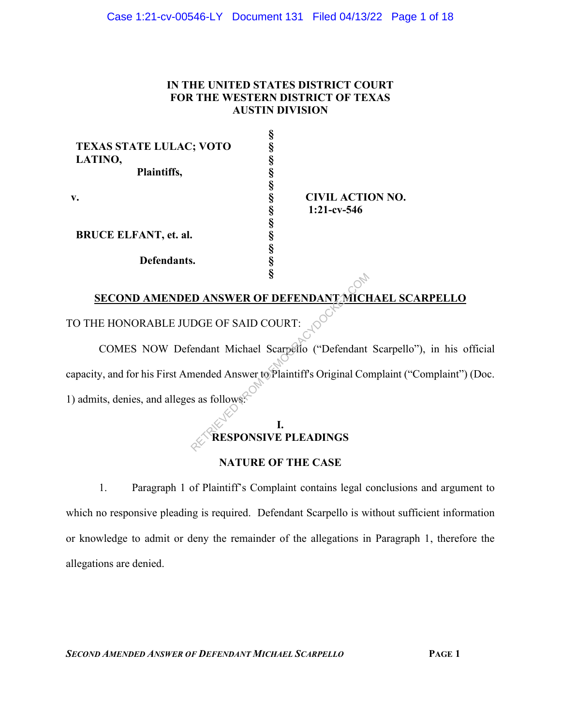### Case 1:21-cv-00546-LY Document 131 Filed 04/13/22 Page 1 of 18

# **IN THE UNITED STATES DISTRICT COURT FOR THE WESTERN DISTRICT OF TEXAS AUSTIN DIVISION**

**§**

| O | <b>CIVIL ACTION NO.</b> |
|---|-------------------------|
|   | $1:21$ -cv-546          |
|   |                         |
|   |                         |
|   |                         |
|   |                         |
|   |                         |
|   | s                       |

# **SECOND AMENDED ANSWER OF DEFENDANT MICHAEL SCARPELLO**

TO THE HONORABLE JUDGE OF SAID COURT:

COMES NOW Defendant Michael Scarpello ("Defendant Scarpello"), in his official capacity, and for his First Amended Answer to Plaintiff's Original Complaint ("Complaint") (Doc. 1) admits, denies, and alleges as follows: **S**<br> **EXECUTE ANSWER OF DEFENDANT MICH**<br>
DGE OF SAID COURT:<br>
COMPARE SCAPER ("Defendant<br>
mended Answer to Plaintiff's Original Contracts as follows:

# **I. RESPONSIVE PLEADINGS**

# **NATURE OF THE CASE**

1. Paragraph 1 of Plaintiff's Complaint contains legal conclusions and argument to which no responsive pleading is required. Defendant Scarpello is without sufficient information or knowledge to admit or deny the remainder of the allegations in Paragraph 1, therefore the allegations are denied.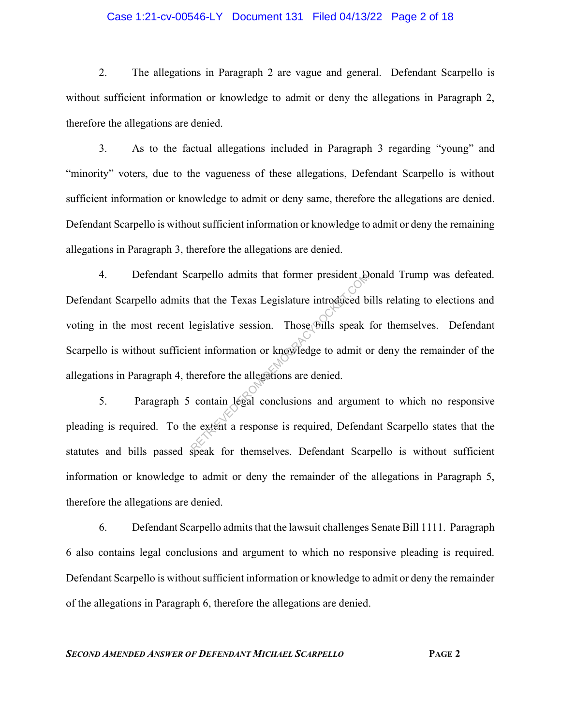## Case 1:21-cv-00546-LY Document 131 Filed 04/13/22 Page 2 of 18

2. The allegations in Paragraph 2 are vague and general. Defendant Scarpello is without sufficient information or knowledge to admit or deny the allegations in Paragraph 2, therefore the allegations are denied.

3. As to the factual allegations included in Paragraph 3 regarding "young" and "minority" voters, due to the vagueness of these allegations, Defendant Scarpello is without sufficient information or knowledge to admit or deny same, therefore the allegations are denied. Defendant Scarpello is without sufficient information or knowledge to admit or deny the remaining allegations in Paragraph 3, therefore the allegations are denied.

4. Defendant Scarpello admits that former president Donald Trump was defeated. Defendant Scarpello admits that the Texas Legislature introduced bills relating to elections and voting in the most recent legislative session. Those bills speak for themselves. Defendant Scarpello is without sufficient information or knowledge to admit or deny the remainder of the allegations in Paragraph 4, therefore the allegations are denied. Example 10 admits that former president to<br>that the Texas Legislature introduced b<br>legislative session. Those bills speak<br>ent information or knowledge to admit of<br>herefore the allegations are denied.<br>contain legal conclusi

5. Paragraph 5 contain legal conclusions and argument to which no responsive pleading is required. To the extent a response is required, Defendant Scarpello states that the statutes and bills passed speak for themselves. Defendant Scarpello is without sufficient information or knowledge to admit or deny the remainder of the allegations in Paragraph 5, therefore the allegations are denied.

6. Defendant Scarpello admits that the lawsuit challenges Senate Bill 1111. Paragraph 6 also contains legal conclusions and argument to which no responsive pleading is required. Defendant Scarpello is without sufficient information or knowledge to admit or deny the remainder of the allegations in Paragraph 6, therefore the allegations are denied.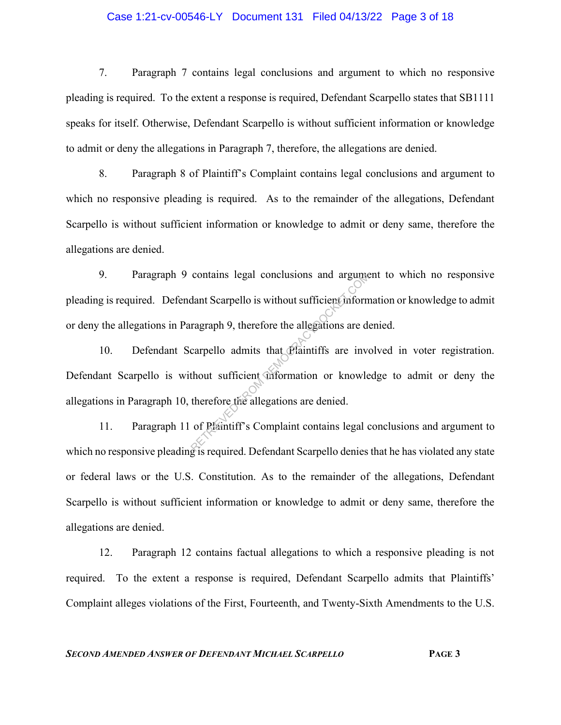### Case 1:21-cv-00546-LY Document 131 Filed 04/13/22 Page 3 of 18

7. Paragraph 7 contains legal conclusions and argument to which no responsive pleading is required. To the extent a response is required, Defendant Scarpello states that SB1111 speaks for itself. Otherwise, Defendant Scarpello is without sufficient information or knowledge to admit or deny the allegations in Paragraph 7, therefore, the allegations are denied.

8. Paragraph 8 of Plaintiff's Complaint contains legal conclusions and argument to which no responsive pleading is required. As to the remainder of the allegations, Defendant Scarpello is without sufficient information or knowledge to admit or deny same, therefore the allegations are denied.

9. Paragraph 9 contains legal conclusions and argument to which no responsive pleading is required. Defendant Scarpello is without sufficient information or knowledge to admit or deny the allegations in Paragraph 9, therefore the allegations are denied.

10. Defendant Scarpello admits that Plaintiffs are involved in voter registration. Defendant Scarpello is without sufficient information or knowledge to admit or deny the allegations in Paragraph 10, therefore the allegations are denied. contains legal conclusions and argumed<br>dant Scarpello is without sufficient inform<br>ragraph 9, therefore the allegations are de<br>carpello admits that Plaintiffs are invertion of the sufficient information or knowle<br>therefore

11. Paragraph 11 of Plaintiff's Complaint contains legal conclusions and argument to which no responsive pleading is required. Defendant Scarpello denies that he has violated any state or federal laws or the U.S. Constitution. As to the remainder of the allegations, Defendant Scarpello is without sufficient information or knowledge to admit or deny same, therefore the allegations are denied.

12. Paragraph 12 contains factual allegations to which a responsive pleading is not required. To the extent a response is required, Defendant Scarpello admits that Plaintiffs' Complaint alleges violations of the First, Fourteenth, and Twenty-Sixth Amendments to the U.S.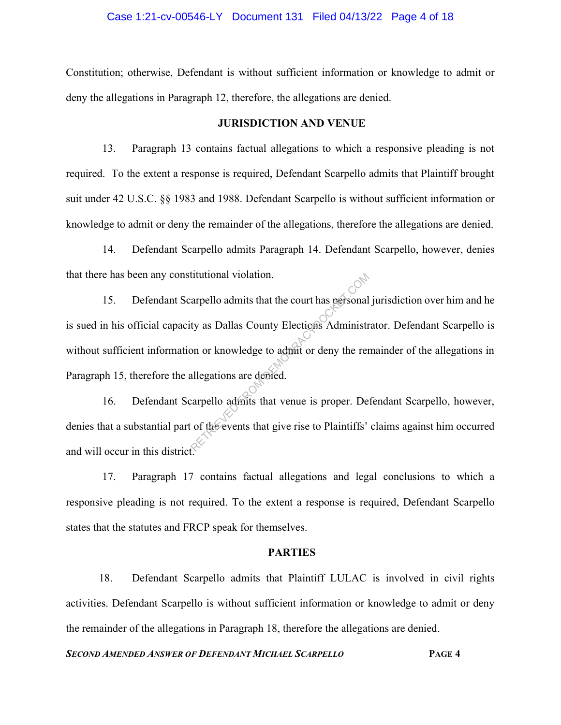### Case 1:21-cv-00546-LY Document 131 Filed 04/13/22 Page 4 of 18

Constitution; otherwise, Defendant is without sufficient information or knowledge to admit or deny the allegations in Paragraph 12, therefore, the allegations are denied.

### **JURISDICTION AND VENUE**

13. Paragraph 13 contains factual allegations to which a responsive pleading is not required. To the extent a response is required, Defendant Scarpello admits that Plaintiff brought suit under 42 U.S.C. §§ 1983 and 1988. Defendant Scarpello is without sufficient information or knowledge to admit or deny the remainder of the allegations, therefore the allegations are denied.

14. Defendant Scarpello admits Paragraph 14. Defendant Scarpello, however, denies that there has been any constitutional violation.

15. Defendant Scarpello admits that the court has personal jurisdiction over him and he is sued in his official capacity as Dallas County Elections Administrator. Defendant Scarpello is without sufficient information or knowledge to admit or deny the remainder of the allegations in Paragraph 15, therefore the allegations are denied. Example 1 admits that the court has personal<br>ty as Dallas County Elections Administr<br>on or knowledge to admit or deny the rer<br>allegations are demied.<br>carpello admits that venue is proper. De<br>of the events that give rise to

16. Defendant Scarpello admits that venue is proper. Defendant Scarpello, however, denies that a substantial part of the events that give rise to Plaintiffs' claims against him occurred and will occur in this district.

17. Paragraph 17 contains factual allegations and legal conclusions to which a responsive pleading is not required. To the extent a response is required, Defendant Scarpello states that the statutes and FRCP speak for themselves.

### **PARTIES**

18. Defendant Scarpello admits that Plaintiff LULAC is involved in civil rights activities. Defendant Scarpello is without sufficient information or knowledge to admit or deny the remainder of the allegations in Paragraph 18, therefore the allegations are denied.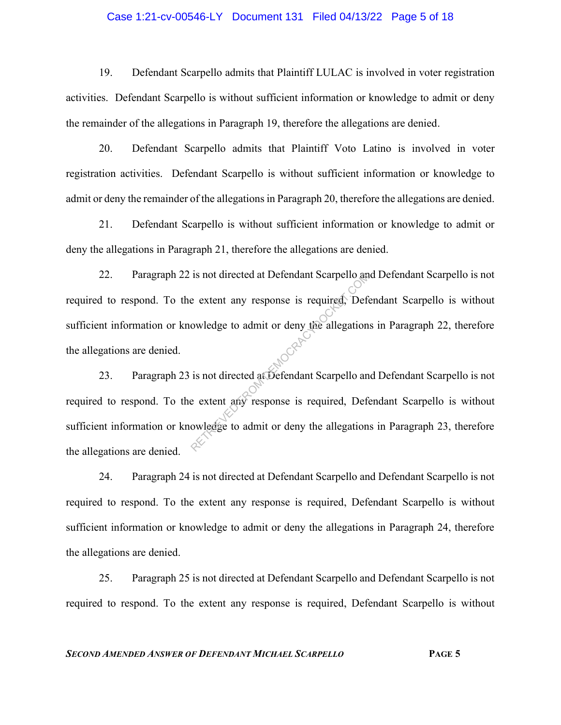### Case 1:21-cv-00546-LY Document 131 Filed 04/13/22 Page 5 of 18

19. Defendant Scarpello admits that Plaintiff LULAC is involved in voter registration activities. Defendant Scarpello is without sufficient information or knowledge to admit or deny the remainder of the allegations in Paragraph 19, therefore the allegations are denied.

20. Defendant Scarpello admits that Plaintiff Voto Latino is involved in voter registration activities. Defendant Scarpello is without sufficient information or knowledge to admit or deny the remainder of the allegations in Paragraph 20, therefore the allegations are denied.

21. Defendant Scarpello is without sufficient information or knowledge to admit or deny the allegations in Paragraph 21, therefore the allegations are denied.

22. Paragraph 22 is not directed at Defendant Scarpello and Defendant Scarpello is not required to respond. To the extent any response is required, Defendant Scarpello is without sufficient information or knowledge to admit or deny the allegations in Paragraph 22, therefore the allegations are denied. Is not directed at Detendant Scarpello and<br>
e extent any response is required. Defe<br>
owledge to admit or deny the allegation<br>
is not directed at Defendant Scarpello and<br>
e extent any response is required. Defe<br>
owledge to

23. Paragraph 23 is not directed at Defendant Scarpello and Defendant Scarpello is not required to respond. To the extent any response is required, Defendant Scarpello is without sufficient information or knowledge to admit or deny the allegations in Paragraph 23, therefore the allegations are denied.

24. Paragraph 24 is not directed at Defendant Scarpello and Defendant Scarpello is not required to respond. To the extent any response is required, Defendant Scarpello is without sufficient information or knowledge to admit or deny the allegations in Paragraph 24, therefore the allegations are denied.

25. Paragraph 25 is not directed at Defendant Scarpello and Defendant Scarpello is not required to respond. To the extent any response is required, Defendant Scarpello is without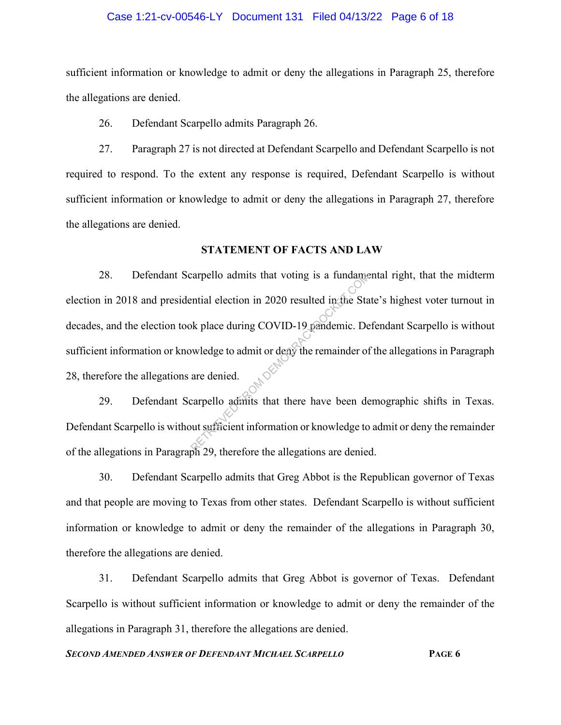#### Case 1:21-cv-00546-LY Document 131 Filed 04/13/22 Page 6 of 18

sufficient information or knowledge to admit or deny the allegations in Paragraph 25, therefore the allegations are denied.

26. Defendant Scarpello admits Paragraph 26.

27. Paragraph 27 is not directed at Defendant Scarpello and Defendant Scarpello is not required to respond. To the extent any response is required, Defendant Scarpello is without sufficient information or knowledge to admit or deny the allegations in Paragraph 27, therefore the allegations are denied.

#### **STATEMENT OF FACTS AND LAW**

28. Defendant Scarpello admits that voting is a fundamental right, that the midterm election in 2018 and presidential election in 2020 resulted in the State's highest voter turnout in decades, and the election took place during COVID-19 pandemic. Defendant Scarpello is without sufficient information or knowledge to admit or deny the remainder of the allegations in Paragraph 28, therefore the allegations are denied. Example admits that voting is a fundamential election in 2020 resulted in the Standard election in 2020 resulted in the Standard Standard Standard Covid-19 pandemic. Dependence of are denied.<br>
Example admits that there hav

29. Defendant Scarpello admits that there have been demographic shifts in Texas. Defendant Scarpello is without sufficient information or knowledge to admit or deny the remainder of the allegations in Paragraph 29, therefore the allegations are denied.

30. Defendant Scarpello admits that Greg Abbot is the Republican governor of Texas and that people are moving to Texas from other states. Defendant Scarpello is without sufficient information or knowledge to admit or deny the remainder of the allegations in Paragraph 30, therefore the allegations are denied.

31. Defendant Scarpello admits that Greg Abbot is governor of Texas. Defendant Scarpello is without sufficient information or knowledge to admit or deny the remainder of the allegations in Paragraph 31, therefore the allegations are denied.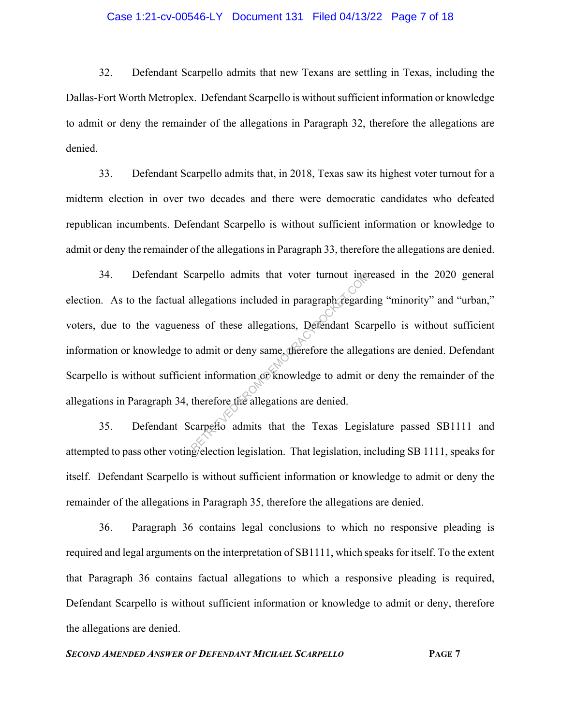#### Case 1:21-cv-00546-LY Document 131 Filed 04/13/22 Page 7 of 18

32. Defendant Scarpello admits that new Texans are settling in Texas, including the Dallas-Fort Worth Metroplex. Defendant Scarpello is without sufficient information or knowledge to admit or deny the remainder of the allegations in Paragraph 32, therefore the allegations are denied.

33. Defendant Scarpello admits that, in 2018, Texas saw its highest voter turnout for a midterm election in over two decades and there were democratic candidates who defeated republican incumbents. Defendant Scarpello is without sufficient information or knowledge to admit or deny the remainder of the allegations in Paragraph 33, therefore the allegations are denied.

34. Defendant Scarpello admits that voter turnout increased in the 2020 general election. As to the factual allegations included in paragraph regarding "minority" and "urban," voters, due to the vagueness of these allegations, Defendant Scarpello is without sufficient information or knowledge to admit or deny same, therefore the allegations are denied. Defendant Scarpello is without sufficient information or knowledge to admit or deny the remainder of the allegations in Paragraph 34, therefore the allegations are denied. carpello admits that voter turnout iner<br>allegations included in paragraph regard<br>ss of these allegations, Defendant Sca<br>admit or deny same therefore the allegation<br>and information of knowledge to admit of<br>therefore the all

35. Defendant Scarpello admits that the Texas Legislature passed SB1111 and attempted to pass other voting/election legislation. That legislation, including SB 1111, speaks for itself. Defendant Scarpello is without sufficient information or knowledge to admit or deny the remainder of the allegations in Paragraph 35, therefore the allegations are denied.

36. Paragraph 36 contains legal conclusions to which no responsive pleading is required and legal arguments on the interpretation of SB1111, which speaks for itself. To the extent that Paragraph 36 contains factual allegations to which a responsive pleading is required, Defendant Scarpello is without sufficient information or knowledge to admit or deny, therefore the allegations are denied.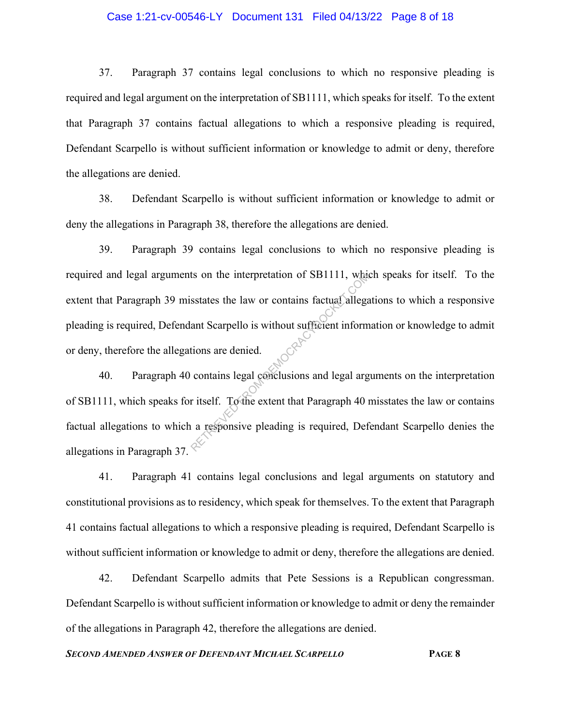### Case 1:21-cv-00546-LY Document 131 Filed 04/13/22 Page 8 of 18

37. Paragraph 37 contains legal conclusions to which no responsive pleading is required and legal argument on the interpretation of SB1111, which speaks for itself. To the extent that Paragraph 37 contains factual allegations to which a responsive pleading is required, Defendant Scarpello is without sufficient information or knowledge to admit or deny, therefore the allegations are denied.

38. Defendant Scarpello is without sufficient information or knowledge to admit or deny the allegations in Paragraph 38, therefore the allegations are denied.

39. Paragraph 39 contains legal conclusions to which no responsive pleading is required and legal arguments on the interpretation of SB1111, which speaks for itself. To the extent that Paragraph 39 misstates the law or contains factual allegations to which a responsive pleading is required, Defendant Scarpello is without sufficient information or knowledge to admit or deny, therefore the allegations are denied. It is on the interpretation of SBITIT, what<br>sstates the law or contains factual allegare<br>ant Scarpello is without sufficient inform<br>tions are denied.<br>contains legal conclusions and legal arg<br>it itself. To the extent that P

40. Paragraph 40 contains legal conclusions and legal arguments on the interpretation of SB1111, which speaks for itself. To the extent that Paragraph 40 misstates the law or contains factual allegations to which a responsive pleading is required, Defendant Scarpello denies the allegations in Paragraph 37.

41. Paragraph 41 contains legal conclusions and legal arguments on statutory and constitutional provisions as to residency, which speak for themselves. To the extent that Paragraph 41 contains factual allegations to which a responsive pleading is required, Defendant Scarpello is without sufficient information or knowledge to admit or deny, therefore the allegations are denied.

42. Defendant Scarpello admits that Pete Sessions is a Republican congressman. Defendant Scarpello is without sufficient information or knowledge to admit or deny the remainder of the allegations in Paragraph 42, therefore the allegations are denied.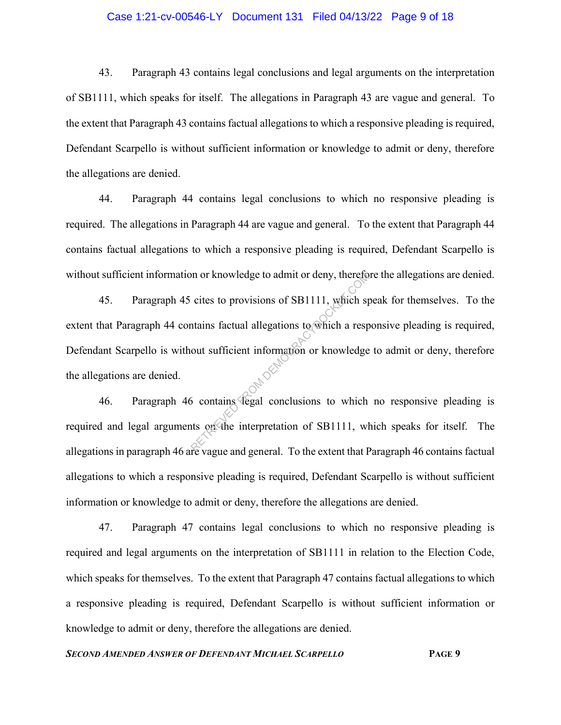### Case 1:21-cv-00546-LY Document 131 Filed 04/13/22 Page 9 of 18

43. Paragraph 43 contains legal conclusions and legal arguments on the interpretation of SB1111, which speaks for itself. The allegations in Paragraph 43 are vague and general. To the extent that Paragraph 43 contains factual allegations to which a responsive pleading is required, Defendant Scarpello is without sufficient information or knowledge to admit or deny, therefore the allegations are denied.

44. Paragraph 44 contains legal conclusions to which no responsive pleading is required. The allegations in Paragraph 44 are vague and general. To the extent that Paragraph 44 contains factual allegations to which a responsive pleading is required, Defendant Scarpello is without sufficient information or knowledge to admit or deny, therefore the allegations are denied.

45. Paragraph 45 cites to provisions of SB1111, which speak for themselves. To the extent that Paragraph 44 contains factual allegations to which a responsive pleading is required, Defendant Scarpello is without sufficient information or knowledge to admit or deny, therefore the allegations are denied. on or knowledge to admit or deny, thereto<br>cites to provisions of SB1111, which sp<br>tains factual allegations to which a resp<br>out sufficient information or knowledge<br>out sufficient information or knowledge<br>of contains degal

46. Paragraph 46 contains legal conclusions to which no responsive pleading is required and legal arguments on the interpretation of SB1111, which speaks for itself. The allegations in paragraph 46 are vague and general. To the extent that Paragraph 46 contains factual allegations to which a responsive pleading is required, Defendant Scarpello is without sufficient information or knowledge to admit or deny, therefore the allegations are denied.

47. Paragraph 47 contains legal conclusions to which no responsive pleading is required and legal arguments on the interpretation of SB1111 in relation to the Election Code, which speaks for themselves. To the extent that Paragraph 47 contains factual allegations to which a responsive pleading is required, Defendant Scarpello is without sufficient information or knowledge to admit or deny, therefore the allegations are denied.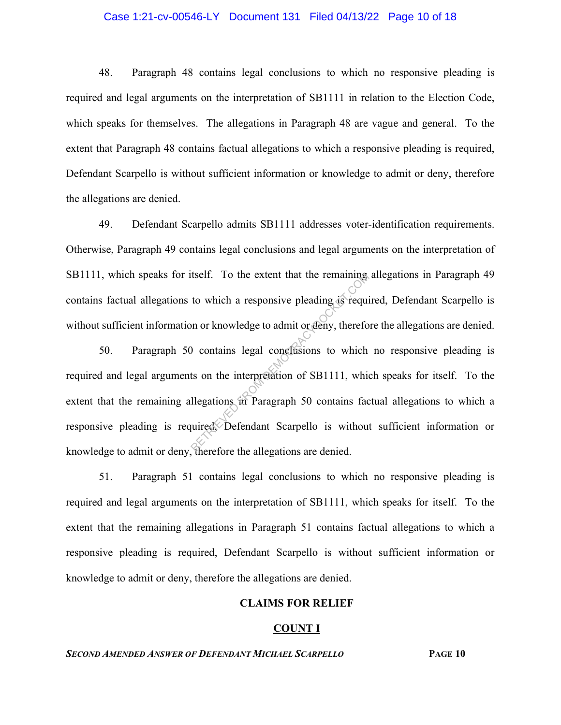#### Case 1:21-cv-00546-LY Document 131 Filed 04/13/22 Page 10 of 18

48. Paragraph 48 contains legal conclusions to which no responsive pleading is required and legal arguments on the interpretation of SB1111 in relation to the Election Code, which speaks for themselves. The allegations in Paragraph 48 are vague and general. To the extent that Paragraph 48 contains factual allegations to which a responsive pleading is required, Defendant Scarpello is without sufficient information or knowledge to admit or deny, therefore the allegations are denied.

49. Defendant Scarpello admits SB1111 addresses voter-identification requirements. Otherwise, Paragraph 49 contains legal conclusions and legal arguments on the interpretation of SB1111, which speaks for itself. To the extent that the remaining allegations in Paragraph 49 contains factual allegations to which a responsive pleading is required, Defendant Scarpello is without sufficient information or knowledge to admit or deny, therefore the allegations are denied.

50. Paragraph 50 contains legal conclusions to which no responsive pleading is required and legal arguments on the interpretation of SB1111, which speaks for itself. To the extent that the remaining allegations in Paragraph 50 contains factual allegations to which a responsive pleading is required. Defendant Scarpello is without sufficient information or knowledge to admit or deny, therefore the allegations are denied. tself. To the extent that the remaining<br>to which a responsive pleading is required<br>on or knowledge to admit or deny, therefore<br>of the interpretation of SB1111, which<br>demonstrates in Paragraph 50 contains factorized.<br>Defend

51. Paragraph 51 contains legal conclusions to which no responsive pleading is required and legal arguments on the interpretation of SB1111, which speaks for itself. To the extent that the remaining allegations in Paragraph 51 contains factual allegations to which a responsive pleading is required, Defendant Scarpello is without sufficient information or knowledge to admit or deny, therefore the allegations are denied.

# **CLAIMS FOR RELIEF**

#### **COUNT I**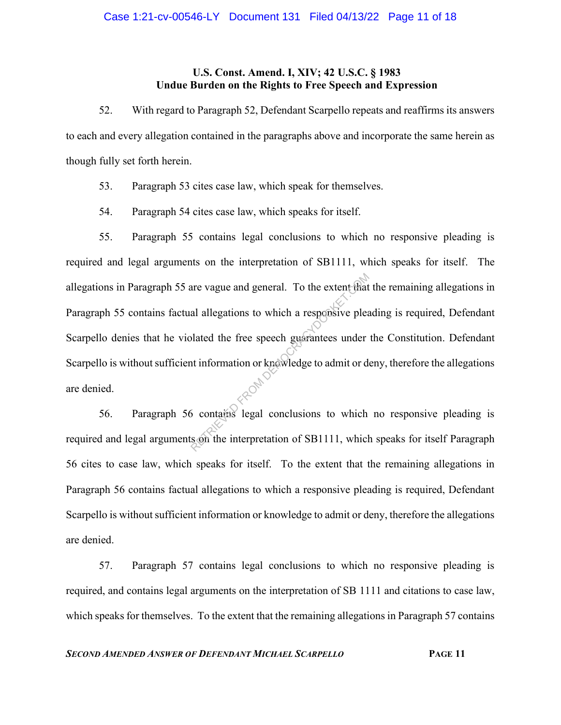# **U.S. Const. Amend. I, XIV; 42 U.S.C. § 1983 Undue Burden on the Rights to Free Speech and Expression**

52. With regard to Paragraph 52, Defendant Scarpello repeats and reaffirms its answers to each and every allegation contained in the paragraphs above and incorporate the same herein as though fully set forth herein.

- 53. Paragraph 53 cites case law, which speak for themselves.
- 54. Paragraph 54 cites case law, which speaks for itself.

55. Paragraph 55 contains legal conclusions to which no responsive pleading is required and legal arguments on the interpretation of SB1111, which speaks for itself. The allegations in Paragraph 55 are vague and general. To the extent that the remaining allegations in Paragraph 55 contains factual allegations to which a responsive pleading is required, Defendant Scarpello denies that he violated the free speech guarantees under the Constitution. Defendant Scarpello is without sufficient information or knowledge to admit or deny, therefore the allegations are denied. are vague and general. To the extent that<br>al allegations to which a responsive plea<br>blated the free speech guarantees under<br>the information or knowledge to admit or do<br>for contains legal conclusions to which<br>son the interp

56. Paragraph 56 contains legal conclusions to which no responsive pleading is required and legal arguments on the interpretation of SB1111, which speaks for itself Paragraph 56 cites to case law, which speaks for itself. To the extent that the remaining allegations in Paragraph 56 contains factual allegations to which a responsive pleading is required, Defendant Scarpello is without sufficient information or knowledge to admit or deny, therefore the allegations are denied.

57. Paragraph 57 contains legal conclusions to which no responsive pleading is required, and contains legal arguments on the interpretation of SB 1111 and citations to case law, which speaks for themselves. To the extent that the remaining allegations in Paragraph 57 contains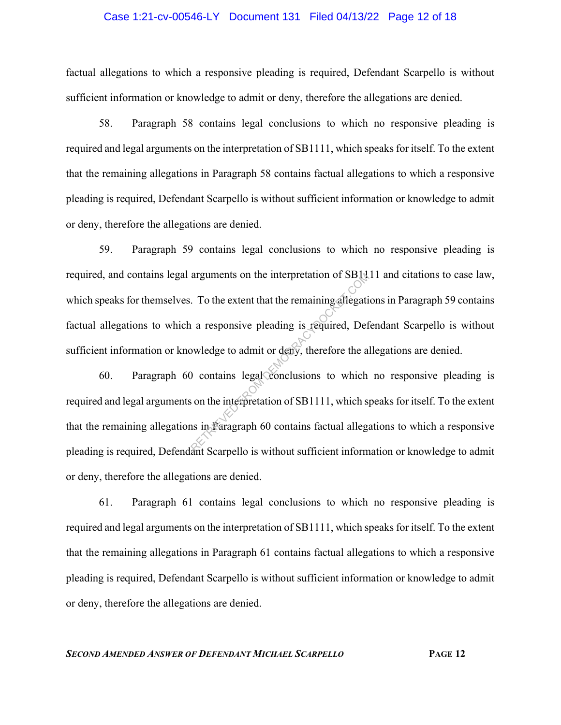#### Case 1:21-cv-00546-LY Document 131 Filed 04/13/22 Page 12 of 18

factual allegations to which a responsive pleading is required, Defendant Scarpello is without sufficient information or knowledge to admit or deny, therefore the allegations are denied.

58. Paragraph 58 contains legal conclusions to which no responsive pleading is required and legal arguments on the interpretation of SB1111, which speaks for itself. To the extent that the remaining allegations in Paragraph 58 contains factual allegations to which a responsive pleading is required, Defendant Scarpello is without sufficient information or knowledge to admit or deny, therefore the allegations are denied.

59. Paragraph 59 contains legal conclusions to which no responsive pleading is required, and contains legal arguments on the interpretation of SB1111 and citations to case law, which speaks for themselves. To the extent that the remaining allegations in Paragraph 59 contains factual allegations to which a responsive pleading is required, Defendant Scarpello is without sufficient information or knowledge to admit or deny, therefore the allegations are denied. arguments on the interpretation of SBIN.<br>
To the extent that the remaining allegation<br>
a responsive pleading is required, Deformed by the and the sequence of the and the contains legal conclusions to which<br>
son the interpr

60. Paragraph 60 contains legal conclusions to which no responsive pleading is required and legal arguments on the interpretation of SB1111, which speaks for itself. To the extent that the remaining allegations in Paragraph 60 contains factual allegations to which a responsive pleading is required, Defendant Scarpello is without sufficient information or knowledge to admit or deny, therefore the allegations are denied.

61. Paragraph 61 contains legal conclusions to which no responsive pleading is required and legal arguments on the interpretation of SB1111, which speaks for itself. To the extent that the remaining allegations in Paragraph 61 contains factual allegations to which a responsive pleading is required, Defendant Scarpello is without sufficient information or knowledge to admit or deny, therefore the allegations are denied.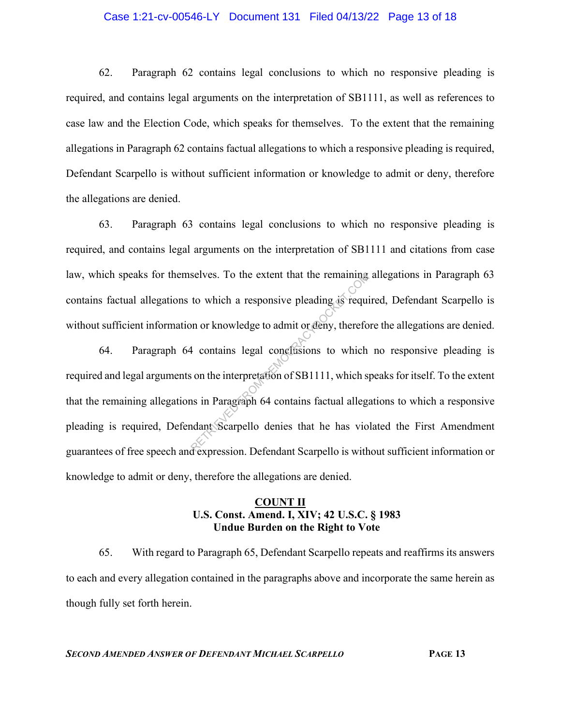#### Case 1:21-cv-00546-LY Document 131 Filed 04/13/22 Page 13 of 18

62. Paragraph 62 contains legal conclusions to which no responsive pleading is required, and contains legal arguments on the interpretation of SB1111, as well as references to case law and the Election Code, which speaks for themselves. To the extent that the remaining allegations in Paragraph 62 contains factual allegations to which a responsive pleading is required, Defendant Scarpello is without sufficient information or knowledge to admit or deny, therefore the allegations are denied.

63. Paragraph 63 contains legal conclusions to which no responsive pleading is required, and contains legal arguments on the interpretation of SB1111 and citations from case law, which speaks for themselves. To the extent that the remaining allegations in Paragraph 63 contains factual allegations to which a responsive pleading is required, Defendant Scarpello is without sufficient information or knowledge to admit or deny, therefore the allegations are denied.

64. Paragraph 64 contains legal conclusions to which no responsive pleading is required and legal arguments on the interpretation of SB1111, which speaks for itself. To the extent that the remaining allegations in Paragraph 64 contains factual allegations to which a responsive pleading is required, Defendant Scarpello denies that he has violated the First Amendment guarantees of free speech and expression. Defendant Scarpello is without sufficient information or knowledge to admit or deny, therefore the allegations are denied. Selves. To the extent that the remaining<br>to which a responsive pleading as required<br>on or knowledge to admit or deny, therefore the contains legal conclusions to which<br>is on the interpretation of SB1111, which spin as in P

## **COUNT II U.S. Const. Amend. I, XIV; 42 U.S.C. § 1983 Undue Burden on the Right to Vote**

65. With regard to Paragraph 65, Defendant Scarpello repeats and reaffirms its answers to each and every allegation contained in the paragraphs above and incorporate the same herein as though fully set forth herein.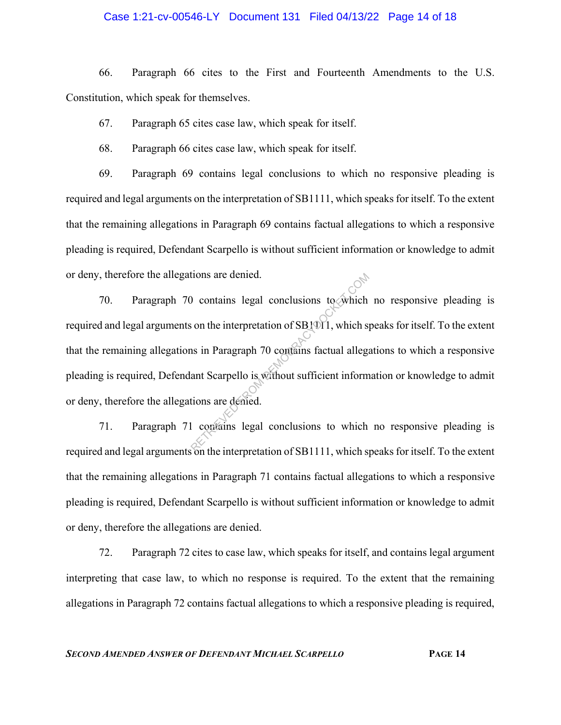### Case 1:21-cv-00546-LY Document 131 Filed 04/13/22 Page 14 of 18

66. Paragraph 66 cites to the First and Fourteenth Amendments to the U.S. Constitution, which speak for themselves.

67. Paragraph 65 cites case law, which speak for itself.

68. Paragraph 66 cites case law, which speak for itself.

69. Paragraph 69 contains legal conclusions to which no responsive pleading is required and legal arguments on the interpretation of SB1111, which speaks for itself. To the extent that the remaining allegations in Paragraph 69 contains factual allegations to which a responsive pleading is required, Defendant Scarpello is without sufficient information or knowledge to admit or deny, therefore the allegations are denied.

70. Paragraph 70 contains legal conclusions to which no responsive pleading is required and legal arguments on the interpretation of SB1011, which speaks for itself. To the extent that the remaining allegations in Paragraph 70 contains factual allegations to which a responsive pleading is required, Defendant Scarpello is without sufficient information or knowledge to admit or deny, therefore the allegations are denied. RETRIEVED FROM DEMOCRACYDOCKET.COM

71. Paragraph 71 contains legal conclusions to which no responsive pleading is required and legal arguments on the interpretation of SB1111, which speaks for itself. To the extent that the remaining allegations in Paragraph 71 contains factual allegations to which a responsive pleading is required, Defendant Scarpello is without sufficient information or knowledge to admit or deny, therefore the allegations are denied.

72. Paragraph 72 cites to case law, which speaks for itself, and contains legal argument interpreting that case law, to which no response is required. To the extent that the remaining allegations in Paragraph 72 contains factual allegations to which a responsive pleading is required,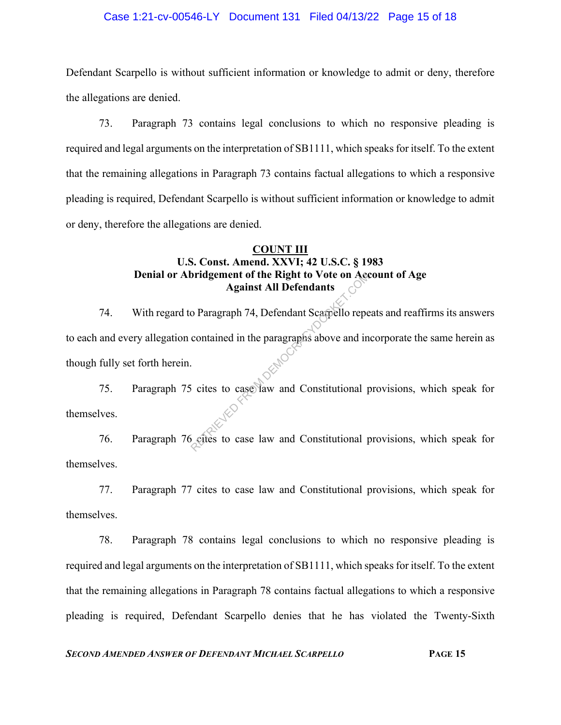### Case 1:21-cv-00546-LY Document 131 Filed 04/13/22 Page 15 of 18

Defendant Scarpello is without sufficient information or knowledge to admit or deny, therefore the allegations are denied.

73. Paragraph 73 contains legal conclusions to which no responsive pleading is required and legal arguments on the interpretation of SB1111, which speaks for itself. To the extent that the remaining allegations in Paragraph 73 contains factual allegations to which a responsive pleading is required, Defendant Scarpello is without sufficient information or knowledge to admit or deny, therefore the allegations are denied.

# **COUNT III U.S. Const. Amend. XXVI; 42 U.S.C. § 1983 Denial or Abridgement of the Right to Vote on Account of Age Against All Defendants**

74. With regard to Paragraph 74, Defendant Scarpello repeats and reaffirms its answers to each and every allegation contained in the paragraphs above and incorporate the same herein as though fully set forth herein. Bridgement of the Right to Vote on Accord Against All Defendants<br>
o Paragraph 74, Defendant Scarpello repe<br>
contained in the paragraphs above and in<br>
Since to case law and Constitutional paragraphs to case law and Constitu

75. Paragraph 75 cites to case law and Constitutional provisions, which speak for themselves.

76. Paragraph 76 cites to case law and Constitutional provisions, which speak for themselves.

77. Paragraph 77 cites to case law and Constitutional provisions, which speak for themselves.

78. Paragraph 78 contains legal conclusions to which no responsive pleading is required and legal arguments on the interpretation of SB1111, which speaks for itself. To the extent that the remaining allegations in Paragraph 78 contains factual allegations to which a responsive pleading is required, Defendant Scarpello denies that he has violated the Twenty-Sixth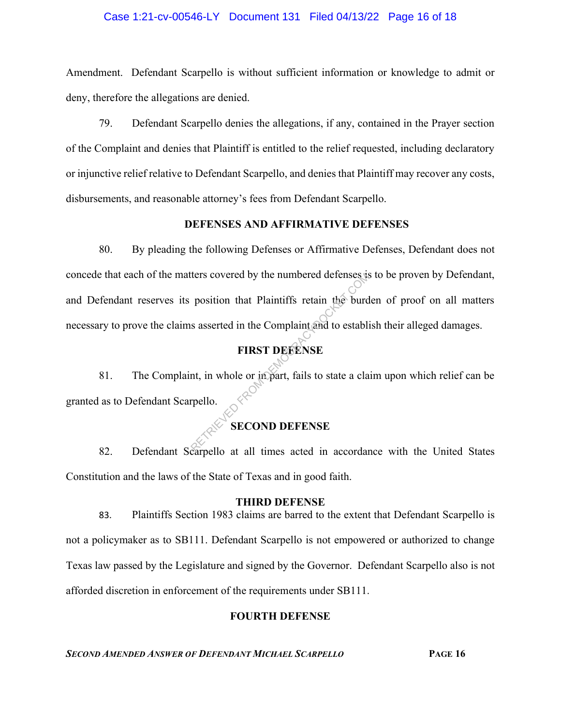### Case 1:21-cv-00546-LY Document 131 Filed 04/13/22 Page 16 of 18

Amendment. Defendant Scarpello is without sufficient information or knowledge to admit or deny, therefore the allegations are denied.

79. Defendant Scarpello denies the allegations, if any, contained in the Prayer section of the Complaint and denies that Plaintiff is entitled to the relief requested, including declaratory or injunctive relief relative to Defendant Scarpello, and denies that Plaintiff may recover any costs, disbursements, and reasonable attorney's fees from Defendant Scarpello.

### **DEFENSES AND AFFIRMATIVE DEFENSES**

80. By pleading the following Defenses or Affirmative Defenses, Defendant does not concede that each of the matters covered by the numbered defenses is to be proven by Defendant, and Defendant reserves its position that Plaintiffs retain the burden of proof on all matters necessary to prove the claims asserted in the Complaint and to establish their alleged damages. The state of the fourth-<br>
position that Plaintiffs retain the burd<br>
s asserted in the Complaint and to establish<br>
FIRST DEEENSE<br>
nt, in whole or in part, fails to state a cla<br>
rpello.<br>
SECOND DEFENSE

# **FIRST DEFENSE**

81. The Complaint, in whole or in part, fails to state a claim upon which relief can be granted as to Defendant Scarpello.

# **SECOND DEFENSE**

82. Defendant Scarpello at all times acted in accordance with the United States Constitution and the laws of the State of Texas and in good faith.

### **THIRD DEFENSE**

83. Plaintiffs Section 1983 claims are barred to the extent that Defendant Scarpello is not a policymaker as to SB111. Defendant Scarpello is not empowered or authorized to change Texas law passed by the Legislature and signed by the Governor. Defendant Scarpello also is not afforded discretion in enforcement of the requirements under SB111.

# **FOURTH DEFENSE**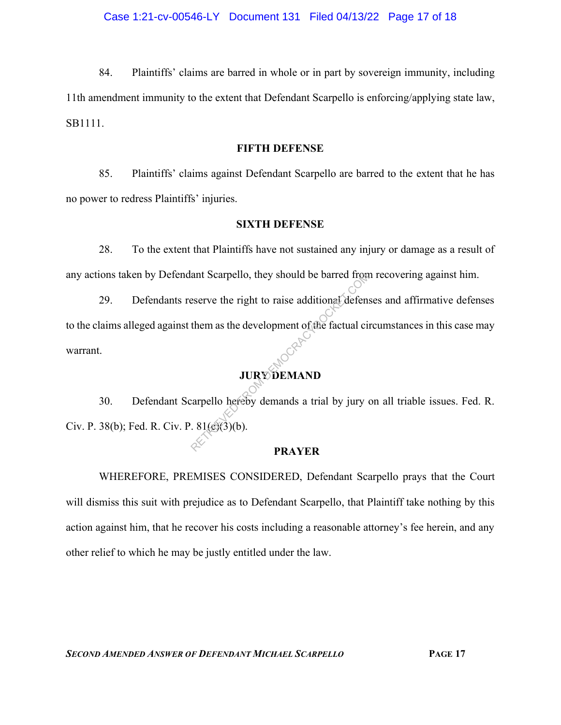84. Plaintiffs' claims are barred in whole or in part by sovereign immunity, including 11th amendment immunity to the extent that Defendant Scarpello is enforcing/applying state law, SB1111.

## **FIFTH DEFENSE**

85. Plaintiffs' claims against Defendant Scarpello are barred to the extent that he has no power to redress Plaintiffs' injuries.

### **SIXTH DEFENSE**

28. To the extent that Plaintiffs have not sustained any injury or damage as a result of any actions taken by Defendant Scarpello, they should be barred from recovering against him.

29. Defendants reserve the right to raise additional defenses and affirmative defenses to the claims alleged against them as the development of the factual circumstances in this case may warrant. ant Scarpello, they should be barred from<br>eserve the right to raise additional defensions<br>them as the development of the factual circularity<br> $\begin{bmatrix}\n\cdot & \cdot & \cdot \\
\cdot & \cdot & \cdot \\
\cdot & \cdot & \cdot \\
\cdot & \cdot & \cdot \\
\cdot & \cdot & \cdot \\
\cdot & \cdot & \cdot \\
\cdot & \cdot & \cdot \\
\cdot & \cdot & \cdot \\
\$ 

# **JURY DEMAND**

30. Defendant Scarpello hereby demands a trial by jury on all triable issues. Fed. R. Civ. P. 38(b); Fed. R. Civ. P.  $81\frac{\sqrt{3}}{\sqrt{3}}$ 

### **PRAYER**

WHEREFORE, PREMISES CONSIDERED, Defendant Scarpello prays that the Court will dismiss this suit with prejudice as to Defendant Scarpello, that Plaintiff take nothing by this action against him, that he recover his costs including a reasonable attorney's fee herein, and any other relief to which he may be justly entitled under the law.